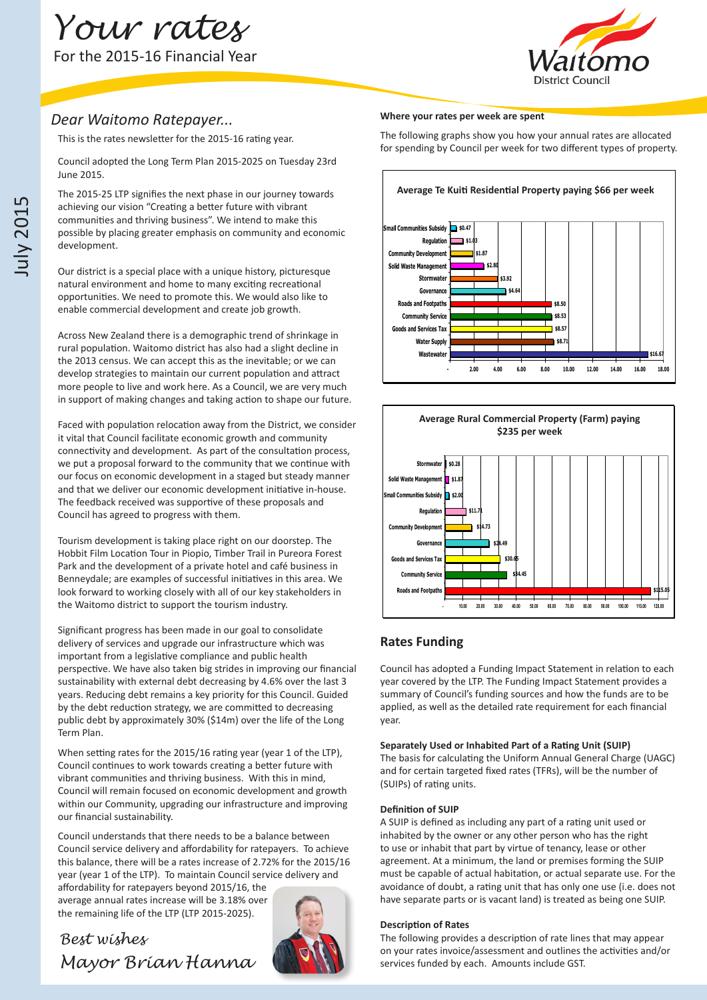

For the 2015-16 Financial Year



# *Dear Waitomo Ratepayer...*

This is the rates newsletter for the 2015-16 rating year.

Council adopted the Long Term Plan 2015-2025 on Tuesday 23rd June 2015.

The 2015-25 LTP signifies the next phase in our journey towards achieving our vision "Creating a better future with vibrant communities and thriving business". We intend to make this possible by placing greater emphasis on community and economic development.

Our district is a special place with a unique history, picturesque natural environment and home to many exciting recreational opportunities. We need to promote this. We would also like to enable commercial development and create job growth.

Across New Zealand there is a demographic trend of shrinkage in rural population. Waitomo district has also had a slight decline in the 2013 census. We can accept this as the inevitable; or we can develop strategies to maintain our current population and attract more people to live and work here. As a Council, we are very much in support of making changes and taking action to shape our future.

Faced with population relocation away from the District, we consider it vital that Council facilitate economic growth and community connectivity and development. As part of the consultation process, we put a proposal forward to the community that we continue with our focus on economic development in a staged but steady manner and that we deliver our economic development initiative in-house. The feedback received was supportive of these proposals and Council has agreed to progress with them.

Tourism development is taking place right on our doorstep. The Hobbit Film Location Tour in Piopio, Timber Trail in Pureora Forest Park and the development of a private hotel and café business in Benneydale; are examples of successful initiatives in this area. We look forward to working closely with all of our key stakeholders in the Waitomo district to support the tourism industry.

Significant progress has been made in our goal to consolidate delivery of services and upgrade our infrastructure which was important from a legislative compliance and public health perspective. We have also taken big strides in improving our financial sustainability with external debt decreasing by 4.6% over the last 3 years. Reducing debt remains a key priority for this Council. Guided by the debt reduction strategy, we are committed to decreasing public debt by approximately 30% (\$14m) over the life of the Long Term Plan.

When setting rates for the 2015/16 rating year (year 1 of the LTP), Council continues to work towards creating a better future with vibrant communities and thriving business. With this in mind, Council will remain focused on economic development and growth within our Community, upgrading our infrastructure and improving our financial sustainability.

Council understands that there needs to be a balance between Council service delivery and affordability for ratepayers. To achieve this balance, there will be a rates increase of 2.72% for the 2015/16 year (year 1 of the LTP). To maintain Council service delivery and

affordability for ratepayers beyond 2015/16, the average annual rates increase will be 3.18% over the remaining life of the LTP (LTP 2015-2025).

# *Best wishes Mayor Brian Hanna*



# **Where your rates per week are spent**

The following graphs show you how your annual rates are allocated for spending by Council per week for two different types of property.





# **Rates Funding**

Council has adopted a Funding Impact Statement in relation to each year covered by the LTP. The Funding Impact Statement provides a summary of Council's funding sources and how the funds are to be applied, as well as the detailed rate requirement for each financial year.

# **Separately Used or Inhabited Part of a Rating Unit (SUIP)**

The basis for calculating the Uniform Annual General Charge (UAGC) and for certain targeted fixed rates (TFRs), will be the number of (SUIPs) of rating units.

#### **Definition of SUIP**

A SUIP is defined as including any part of a rating unit used or inhabited by the owner or any other person who has the right to use or inhabit that part by virtue of tenancy, lease or other agreement. At a minimum, the land or premises forming the SUIP must be capable of actual habitation, or actual separate use. For the avoidance of doubt, a rating unit that has only one use (i.e. does not have separate parts or is vacant land) is treated as being one SUIP.

#### **Description of Rates**

The following provides a description of rate lines that may appear on your rates invoice/assessment and outlines the activities and/or services funded by each. Amounts include GST.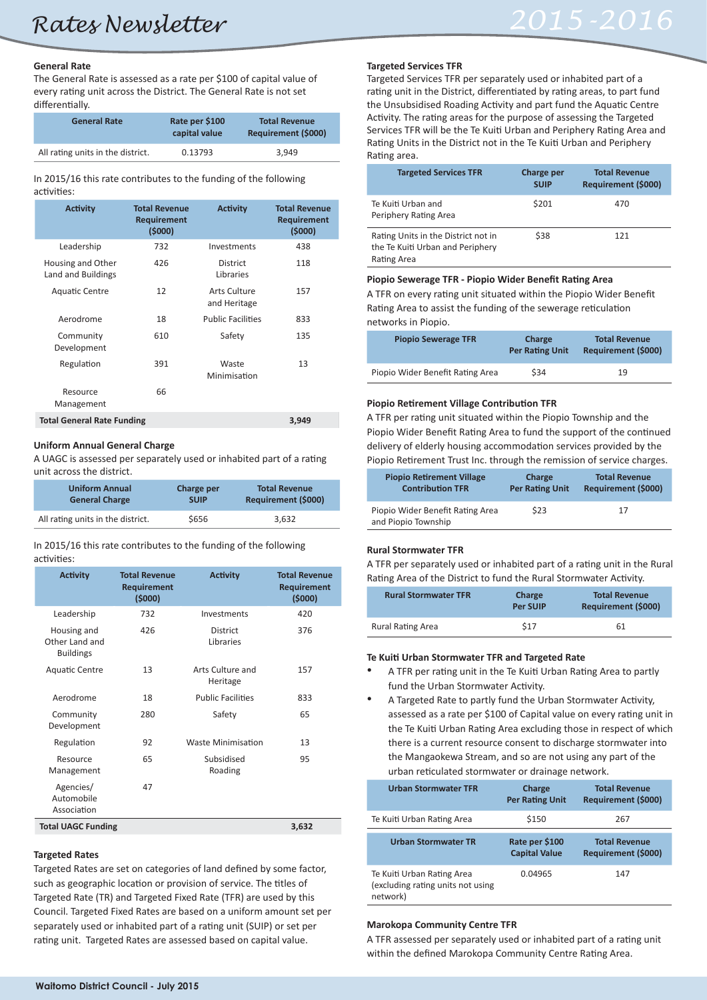# **General Rate**

The General Rate is assessed as a rate per \$100 of capital value of every rating unit across the District. The General Rate is not set differentially.

| <b>General Rate</b>               | Rate per \$100<br>capital value | <b>Total Revenue</b><br><b>Requirement (\$000)</b> |
|-----------------------------------|---------------------------------|----------------------------------------------------|
| All rating units in the district. | 0.13793                         | 3.949                                              |

In 2015/16 this rate contributes to the funding of the following activities:

| <b>Activity</b>                         | <b>Total Revenue</b><br>Requirement<br>(5000) | <b>Activity</b>              | <b>Total Revenue</b><br><b>Requirement</b><br>(5000) |
|-----------------------------------------|-----------------------------------------------|------------------------------|------------------------------------------------------|
| Leadership                              | 732                                           | Investments                  | 438                                                  |
| Housing and Other<br>Land and Buildings | 426                                           | <b>District</b><br>Libraries | 118                                                  |
| <b>Aquatic Centre</b>                   | 12                                            | Arts Culture<br>and Heritage | 157                                                  |
| Aerodrome                               | 18                                            | <b>Public Facilities</b>     | 833                                                  |
| Community<br>Development                | 610                                           | Safety                       | 135                                                  |
| Regulation                              | 391                                           | Waste<br>Minimisation        | 13                                                   |
| Resource<br>Management                  | 66                                            |                              |                                                      |
| <b>Total General Rate Funding</b>       |                                               |                              | 3.949                                                |

# **Uniform Annual General Charge**

A UAGC is assessed per separately used or inhabited part of a rating unit across the district.

| <b>Uniform Annual</b>             | Charge per  | <b>Total Revenue</b>       |
|-----------------------------------|-------------|----------------------------|
| <b>General Charge</b>             | <b>SUIP</b> | <b>Requirement (\$000)</b> |
| All rating units in the district. | \$656       | 3.632                      |

In 2015/16 this rate contributes to the funding of the following activities:

| <b>Activity</b>                                   | <b>Total Revenue</b><br><b>Requirement</b><br>(5000) | <b>Activity</b>              | <b>Total Revenue</b><br><b>Requirement</b><br>(5000) |
|---------------------------------------------------|------------------------------------------------------|------------------------------|------------------------------------------------------|
| Leadership                                        | 732                                                  | Investments                  | 420                                                  |
| Housing and<br>Other Land and<br><b>Buildings</b> | 426                                                  | <b>District</b><br>Libraries | 376                                                  |
| <b>Aquatic Centre</b>                             | 13                                                   | Arts Culture and<br>Heritage | 157                                                  |
| Aerodrome                                         | 18                                                   | <b>Public Facilities</b>     | 833                                                  |
| Community<br>Development                          | 280                                                  | Safety                       | 65                                                   |
| Regulation                                        | 92                                                   | Waste Minimisation           | 13                                                   |
| Resource<br>Management                            | 65                                                   | Subsidised<br>Roading        | 95                                                   |
| Agencies/<br>Automobile<br>Association            | 47                                                   |                              |                                                      |
| <b>Total UAGC Funding</b>                         |                                                      |                              | 3,632                                                |

# **Targeted Rates**

Targeted Rates are set on categories of land defined by some factor, such as geographic location or provision of service. The titles of Targeted Rate (TR) and Targeted Fixed Rate (TFR) are used by this Council. Targeted Fixed Rates are based on a uniform amount set per separately used or inhabited part of a rating unit (SUIP) or set per rating unit. Targeted Rates are assessed based on capital value.

# **Targeted Services TFR**

Targeted Services TFR per separately used or inhabited part of a rating unit in the District, differentiated by rating areas, to part fund the Unsubsidised Roading Activity and part fund the Aquatic Centre Activity. The rating areas for the purpose of assessing the Targeted Services TFR will be the Te Kuiti Urban and Periphery Rating Area and Rating Units in the District not in the Te Kuiti Urban and Periphery Rating area.

| <b>Targeted Services TFR</b>                                                           | Charge per<br><b>SUIP</b> | <b>Total Revenue</b><br><b>Requirement (\$000)</b> |
|----------------------------------------------------------------------------------------|---------------------------|----------------------------------------------------|
| Te Kuiti Urban and<br>Periphery Rating Area                                            | \$201                     | 470                                                |
| Rating Units in the District not in<br>the Te Kuiti Urban and Periphery<br>Rating Area | \$38                      | 121                                                |

### **Piopio Sewerage TFR - Piopio Wider Benefit Rating Area**

A TFR on every rating unit situated within the Piopio Wider Benefit Rating Area to assist the funding of the sewerage reticulation networks in Piopio.

| <b>Piopio Sewerage TFR</b>       | Charge<br><b>Per Rating Unit</b> | <b>Total Revenue</b><br><b>Requirement (\$000)</b> |
|----------------------------------|----------------------------------|----------------------------------------------------|
| Piopio Wider Benefit Rating Area | \$34                             | 19                                                 |

### **Piopio Retirement Village Contribution TFR**

A TFR per rating unit situated within the Piopio Township and the Piopio Wider Benefit Rating Area to fund the support of the continued delivery of elderly housing accommodation services provided by the Piopio Retirement Trust Inc. through the remission of service charges.

| <b>Piopio Retirement Village</b>                        | Charge                 | <b>Total Revenue</b>       |
|---------------------------------------------------------|------------------------|----------------------------|
| <b>Contribution TFR</b>                                 | <b>Per Rating Unit</b> | <b>Requirement (\$000)</b> |
| Piopio Wider Benefit Rating Area<br>and Piopio Township | \$23                   | 17                         |

# **Rural Stormwater TFR**

A TFR per separately used or inhabited part of a rating unit in the Rural Rating Area of the District to fund the Rural Stormwater Activity.

| <b>Rural Stormwater TFR</b> | Charge<br><b>Per SUIP</b> | <b>Total Revenue</b><br><b>Requirement (\$000)</b> |
|-----------------------------|---------------------------|----------------------------------------------------|
| <b>Rural Rating Area</b>    | \$17                      | 61                                                 |

### **Te Kuiti Urban Stormwater TFR and Targeted Rate**

- A TFR per rating unit in the Te Kuiti Urban Rating Area to partly fund the Urban Stormwater Activity.
- A Targeted Rate to partly fund the Urban Stormwater Activity, assessed as a rate per \$100 of Capital value on every rating unit in the Te Kuiti Urban Rating Area excluding those in respect of which there is a current resource consent to discharge stormwater into the Mangaokewa Stream, and so are not using any part of the urban reticulated stormwater or drainage network.

| <b>Urban Stormwater TFR</b>                                                 | Charge<br><b>Per Rating Unit</b>       | <b>Total Revenue</b><br><b>Requirement (\$000)</b> |
|-----------------------------------------------------------------------------|----------------------------------------|----------------------------------------------------|
| Te Kuiti Urban Rating Area                                                  | \$150                                  | 267                                                |
| <b>Urban Stormwater TR</b>                                                  | Rate per \$100<br><b>Capital Value</b> | <b>Total Revenue</b><br><b>Requirement (\$000)</b> |
| Te Kuiti Urban Rating Area<br>(excluding rating units not using<br>network) | 0.04965                                | 147                                                |

# **Marokopa Community Centre TFR**

A TFR assessed per separately used or inhabited part of a rating unit within the defined Marokopa Community Centre Rating Area.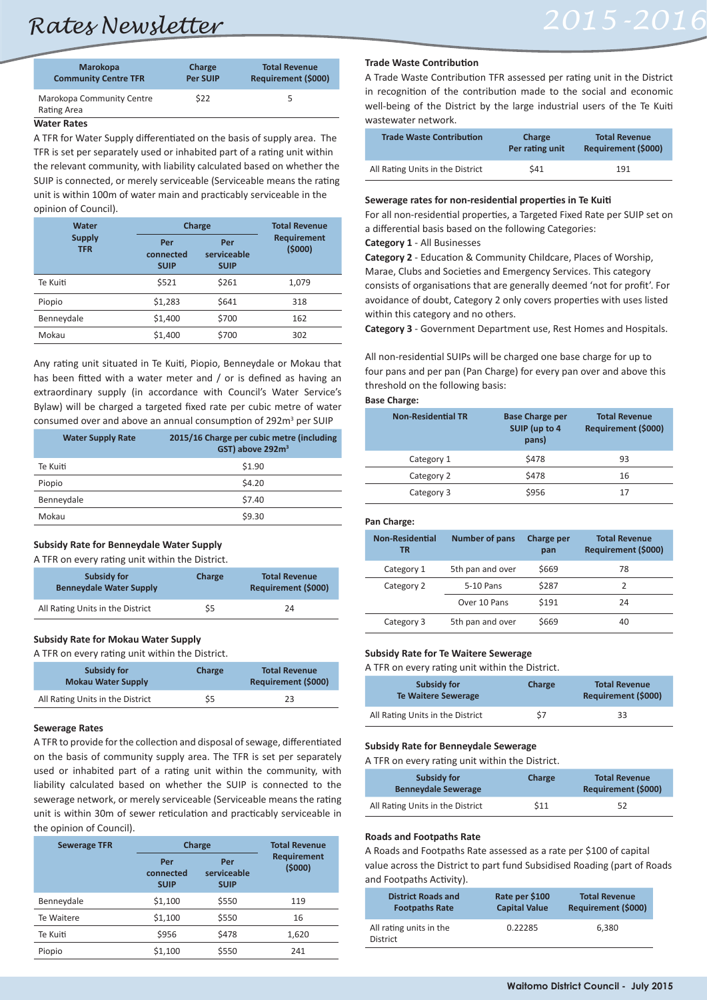# *Rates Newsletter*

| Marokopa                                 | Charge          | <b>Total Revenue</b>       |
|------------------------------------------|-----------------|----------------------------|
| <b>Community Centre TFR</b>              | <b>Per SUIP</b> | <b>Requirement (\$000)</b> |
| Marokopa Community Centre<br>Rating Area | \$22            |                            |

# **Water Rates**

A TFR for Water Supply differentiated on the basis of supply area. The TFR is set per separately used or inhabited part of a rating unit within the relevant community, with liability calculated based on whether the SUIP is connected, or merely serviceable (Serviceable means the rating unit is within 100m of water main and practicably serviceable in the opinion of Council).

| Water                       | Charge                          |                                   | <b>Total Revenue</b>         |
|-----------------------------|---------------------------------|-----------------------------------|------------------------------|
| <b>Supply</b><br><b>TFR</b> | Per<br>connected<br><b>SUIP</b> | Per<br>serviceable<br><b>SUIP</b> | <b>Requirement</b><br>(5000) |
| Te Kuiti                    | \$521                           | \$261                             | 1,079                        |
| Piopio                      | \$1,283                         | \$641                             | 318                          |
| Benneydale                  | \$1,400                         | \$700                             | 162                          |
| Mokau                       | \$1,400                         | \$700                             | 302                          |

Any rating unit situated in Te Kuiti, Piopio, Benneydale or Mokau that has been fitted with a water meter and / or is defined as having an extraordinary supply (in accordance with Council's Water Service's Bylaw) will be charged a targeted fixed rate per cubic metre of water consumed over and above an annual consumption of 292m<sup>3</sup> per SUIP

| <b>Water Supply Rate</b> | 2015/16 Charge per cubic metre (including<br>GST) above 292m <sup>3</sup> |
|--------------------------|---------------------------------------------------------------------------|
| Te Kuiti                 | \$1.90                                                                    |
| Piopio                   | \$4.20                                                                    |
| Benneydale               | \$7.40                                                                    |
| Mokau                    | \$9.30                                                                    |

# **Subsidy Rate for Benneydale Water Supply**

A TFR on every rating unit within the District.

| Subsidy for<br><b>Benneydale Water Supply</b> | Charge | <b>Total Revenue</b><br><b>Requirement (\$000)</b> |
|-----------------------------------------------|--------|----------------------------------------------------|
| All Rating Units in the District              | Ś5     | 24                                                 |

# **Subsidy Rate for Mokau Water Supply**

A TFR on every rating unit within the District.

| <b>Subsidy for</b><br><b>Mokau Water Supply</b> | Charge | <b>Total Revenue</b><br><b>Requirement (\$000)</b> |
|-------------------------------------------------|--------|----------------------------------------------------|
| All Rating Units in the District                | \$5    | 23                                                 |

# **Sewerage Rates**

A TFR to provide for the collection and disposal of sewage, differentiated on the basis of community supply area. The TFR is set per separately used or inhabited part of a rating unit within the community, with liability calculated based on whether the SUIP is connected to the sewerage network, or merely serviceable (Serviceable means the rating unit is within 30m of sewer reticulation and practicably serviceable in the opinion of Council).

| <b>Sewerage TFR</b> | Charge                          |                                   | <b>Total Revenue</b>         |
|---------------------|---------------------------------|-----------------------------------|------------------------------|
|                     | Per<br>connected<br><b>SUIP</b> | Per<br>serviceable<br><b>SUIP</b> | <b>Requirement</b><br>(5000) |
| Benneydale          | \$1,100                         | \$550                             | 119                          |
| Te Waitere          | \$1,100                         | \$550                             | 16                           |
| Te Kuiti            | \$956                           | \$478                             | 1,620                        |
| Piopio              | \$1,100                         | \$550                             | 241                          |

# **Trade Waste Contribution**

A Trade Waste Contribution TFR assessed per rating unit in the District in recognition of the contribution made to the social and economic well-being of the District by the large industrial users of the Te Kuiti wastewater network.

| <b>Trade Waste Contribution</b>  | Charge<br>Per rating unit | <b>Total Revenue</b><br><b>Requirement (\$000)</b> |
|----------------------------------|---------------------------|----------------------------------------------------|
| All Rating Units in the District | \$41                      | 191                                                |

# **Sewerage rates for non-residential properties in Te Kuiti**

For all non-residential properties, a Targeted Fixed Rate per SUIP set on a differential basis based on the following Categories:

# **Category 1** - All Businesses

**Category 2** - Education & Community Childcare, Places of Worship, Marae, Clubs and Societies and Emergency Services. This category consists of organisations that are generally deemed 'not for profit'. For avoidance of doubt, Category 2 only covers properties with uses listed within this category and no others.

**Category 3** - Government Department use, Rest Homes and Hospitals.

All non-residential SUIPs will be charged one base charge for up to four pans and per pan (Pan Charge) for every pan over and above this threshold on the following basis:

# **Base Charge:**

| <b>Non-Residential TR</b> | <b>Base Charge per</b><br>SUIP (up to 4<br>pans) | <b>Total Revenue</b><br><b>Requirement (\$000)</b> |
|---------------------------|--------------------------------------------------|----------------------------------------------------|
| Category 1                | \$478                                            | 93                                                 |
| Category 2                | \$478                                            | 16                                                 |
| Category 3                | \$956                                            | 17                                                 |

#### **Pan Charge:**

| <b>Non-Residential</b><br><b>TR</b> | <b>Number of pans</b> | <b>Charge per</b><br>pan | <b>Total Revenue</b><br><b>Requirement (\$000)</b> |
|-------------------------------------|-----------------------|--------------------------|----------------------------------------------------|
| Category 1                          | 5th pan and over      | \$669                    | 78                                                 |
| Category 2                          | 5-10 Pans             | \$287                    |                                                    |
|                                     | Over 10 Pans          | \$191                    | 24                                                 |
| Category 3                          | 5th pan and over      | \$669                    | 40                                                 |

# **Subsidy Rate for Te Waitere Sewerage**

A TFR on every rating unit within the District.

| <b>Subsidy for</b><br><b>Te Waitere Sewerage</b> | Charge | <b>Total Revenue</b><br><b>Requirement (\$000)</b> |
|--------------------------------------------------|--------|----------------------------------------------------|
| All Rating Units in the District                 | Ś7     | 33                                                 |

# **Subsidy Rate for Benneydale Sewerage**

A TFR on every rating unit within the District.

| <b>Subsidy for</b><br><b>Benneydale Sewerage</b> | Charge | <b>Total Revenue</b><br><b>Requirement (\$000)</b> |
|--------------------------------------------------|--------|----------------------------------------------------|
| All Rating Units in the District                 | \$11   | 52                                                 |

# **Roads and Footpaths Rate**

A Roads and Footpaths Rate assessed as a rate per \$100 of capital value across the District to part fund Subsidised Roading (part of Roads and Footpaths Activity).

| <b>District Roads and</b>           | Rate per \$100       | <b>Total Revenue</b>       |
|-------------------------------------|----------------------|----------------------------|
| <b>Footpaths Rate</b>               | <b>Capital Value</b> | <b>Requirement (\$000)</b> |
| All rating units in the<br>District | 0.22285              | 6.380                      |